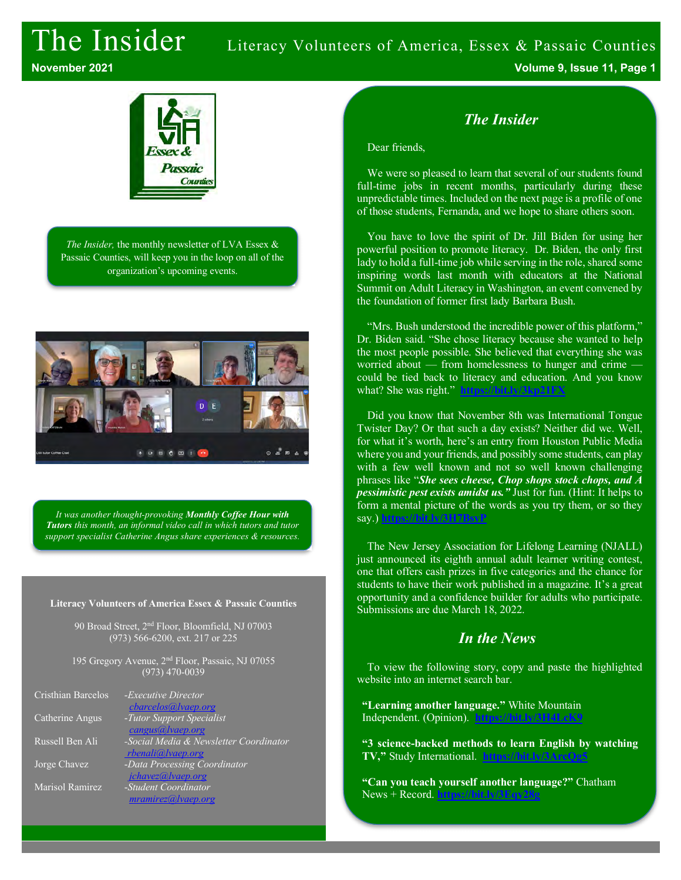## The Insider Literacy Volunteers of America, Essex & Passaic Counties **November 2021 Volume 9, Issue 11, Page 1**



*The Insider,* the monthly newsletter of LVA Essex & Passaic Counties, will keep you in the loop on all of the organization's upcoming events.



*It was another thought-provoking Monthly Coffee Hour with Tutors this month, an informal video call in which tutors and tutor support specialist Catherine Angus share experiences & resources.*

#### **Literacy Volunteers of America Essex & Passaic Counties**

90 Broad Street, 2nd Floor, Bloomfield, NJ 07003 (973) 566-6200, ext. 217 or 225

195 Gregory Avenue, 2<sup>nd</sup> Floor, Passaic, NJ 07055 (973) 470-0039

| Cristhian Barcelos | - <i>Executive Director</i>            |
|--------------------|----------------------------------------|
|                    | cbarcelos@lvaep.org                    |
| Catherine Angus    | -Tutor Support Specialist              |
|                    | cangus@lvaep.org                       |
| Russell Ben Ali    | -Social Media & Newsletter Coordinator |
|                    | rbenali@lvaep.org                      |
| Jorge Chavez       | -Data Processing Coordinator           |
|                    | jchavez@lvaep.org                      |
| Marisol Ramirez    | -Student Coordinator                   |
|                    | mramirez@ vaep.org                     |

### *The Insider*

#### Dear friends,

We were so pleased to learn that several of our students found full-time jobs in recent months, particularly during these unpredictable times. Included on the next page is a profile of one of those students, Fernanda, and we hope to share others soon.

You have to love the spirit of Dr. Jill Biden for using her powerful position to promote literacy. Dr. Biden, the only first lady to hold a full-time job while serving in the role, shared some inspiring words last month with educators at the National Summit on Adult Literacy in Washington, an event convened by the foundation of former first lady Barbara Bush.

"Mrs. Bush understood the incredible power of this platform," Dr. Biden said. "She chose literacy because she wanted to help the most people possible. She believed that everything she was worried about — from homelessness to hunger and crime could be tied back to literacy and education. And you know what? She was right." **https://bit.ly/3kp21FX**

Did you know that November 8th was International Tongue Twister Day? Or that such a day exists? Neither did we. Well, for what it's worth, here's an entry from Houston Public Media where you and your friends, and possibly some students, can play with a few well known and not so well known challenging phrases like "*She sees cheese, Chop shops stock chops, and A pessimistic pest exists amidst us."* Just for fun. (Hint: It helps to form a mental picture of the words as you try them, or so they say.) **https://bit.ly/3H7BsyP**

The New Jersey Association for Lifelong Learning (NJALL) just announced its eighth annual adult learner writing contest, one that offers cash prizes in five categories and the chance for students to have their work published in a magazine. It's a great opportunity and a confidence builder for adults who participate. Submissions are due March 18, 2022.

### *In the News*

To view the following story, copy and paste the highlighted website into an internet search bar.

**"Learning another language."** White Mountain Independent. (Opinion). **https://bit.ly/3H4LcK9**

**"3 science-backed methods to learn English by watching TV,"** Study International. **https://bit.ly/3ArcQg5**

**"Can you teach yourself another language?"** Chatham News + Record. **https://bit.ly/3Eqy28g**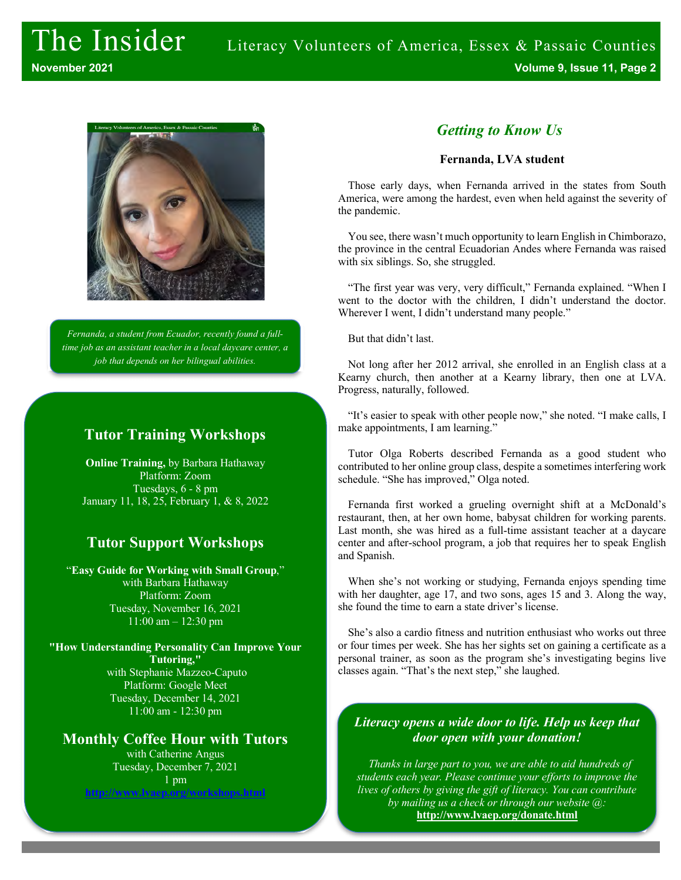

*Fernanda, a student from Ecuador, recently found a fulltime job as an assistant teacher in a local daycare center, a job that depends on her bilingual abilities.*

### **Tutor Training Workshops**

**Online Training,** by Barbara Hathaway Platform: Zoom Tuesdays, 6 - 8 pm January 11, 18, 25, February 1, & 8, 2022

### **Tutor Support Workshops**

"**Easy Guide for Working with Small Group**," with Barbara Hathaway Platform: Zoom Tuesday, November 16, 2021 11:00 am – 12:30 pm

**"How Understanding Personality Can Improve Your Tutoring,"** with Stephanie Mazzeo-Caputo Platform: Google Meet Tuesday, December 14, 2021 11:00 am - 12:30 pm

### **Monthly Coffee Hour with Tutors**

with Catherine Angus Tuesday, December 7, 2021 1 pm **http://www.lvaep.org/workshops.html**

### *Getting to Know Us*

#### **Fernanda, LVA student**

Those early days, when Fernanda arrived in the states from South America, were among the hardest, even when held against the severity of the pandemic.

You see, there wasn't much opportunity to learn English in Chimborazo, the province in the central Ecuadorian Andes where Fernanda was raised with six siblings. So, she struggled.

"The first year was very, very difficult," Fernanda explained. "When I went to the doctor with the children, I didn't understand the doctor. Wherever I went, I didn't understand many people."

But that didn't last.

Not long after her 2012 arrival, she enrolled in an English class at a Kearny church, then another at a Kearny library, then one at LVA. Progress, naturally, followed.

"It's easier to speak with other people now," she noted. "I make calls, I make appointments, I am learning."

Tutor Olga Roberts described Fernanda as a good student who contributed to her online group class, despite a sometimes interfering work schedule. "She has improved," Olga noted.

Fernanda first worked a grueling overnight shift at a McDonald's restaurant, then, at her own home, babysat children for working parents. Last month, she was hired as a full-time assistant teacher at a daycare center and after-school program, a job that requires her to speak English and Spanish.

When she's not working or studying, Fernanda enjoys spending time with her daughter, age 17, and two sons, ages 15 and 3. Along the way, she found the time to earn a state driver's license.

She's also a cardio fitness and nutrition enthusiast who works out three or four times per week. She has her sights set on gaining a certificate as a personal trainer, as soon as the program she's investigating begins live classes again. "That's the next step," she laughed.

#### *Literacy opens a wide door to life. Help us keep that door open with your donation!*

*Thanks in large part to you, we are able to aid hundreds of students each year. Please continue your efforts to improve the lives of others by giving the gift of literacy. You can contribute by mailing us a check or through our website @:* **http://www.lvaep.org/donate.html**

*or by mailing us a check.*